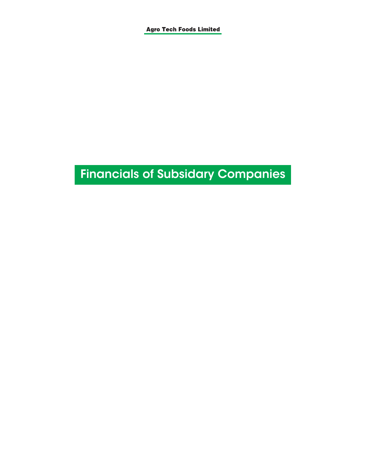# Financials of Subsidary Companies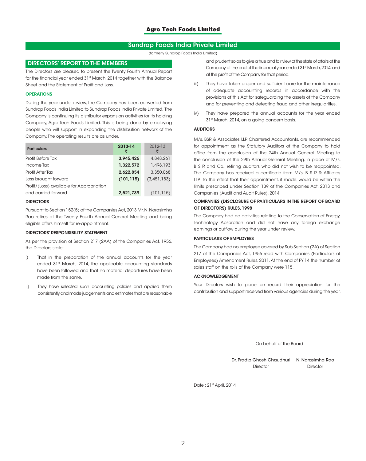# Sundrop Foods India Private Limited

(formerly Sundrop Foods India Limited)

### DIRECTORS' REPORT TO THE MEMBERS

The Directors are pleased to present the Twenty Fourth Annual Report for the financial year ended 31st March, 2014 together with the Balance Sheet and the Statement of Profit and Loss.

### **OPERATIONS**

During the year under review, the Company has been converted from Sundrop Foods India Limited to Sundrop Foods India Private Limited. The Company is continuing its distributor expansion activities for its holding Company, Agro Tech Foods Limited. This is being done by employing people who will support in expanding the distribution network of the Company. The operating results are as under.

| <b>Particulars</b>                        | 2013-14<br>₹ | 2012-13     |
|-------------------------------------------|--------------|-------------|
| Profit Before Tax                         | 3,945,426    | 4.848.261   |
| Income Tax                                | 1,322,572    | 1,498,193   |
| Profit After Tax                          | 2,622,854    | 3,350,068   |
| Loss brought forward                      | (101, 115)   | (3,451,183) |
| Profit/(Loss) available for Appropriation |              |             |
| and carried forward                       | 2,521,739    | (101, 115)  |

### DIRECTORS

Pursuant to Section 152(5) of the Companies Act, 2013 Mr. N. Narasimha Rao retires at the Twenty Fourth Annual General Meeting and being eligible offers himself for re-appointment.

### DIRECTORS' RESPONSIBILITY STATEMENT

As per the provision of Section 217 (2AA) of the Companies Act, 1956, the Directors state:

- i) That in the preparation of the annual accounts for the year ended 31st March, 2014, the applicable accounting standards have been followed and that no material departures have been made from the same.
- ii) They have selected such accounting policies and applied them consistently and made judgements and estimates that are reasonable

and prudent so as to give a true and fair view of the state of affairs of the Company at the end of the financial year ended 31st March, 2014, and at the profit of the Company for that period.

- iii) They have taken proper and sufficient care for the maintenance of adequate accounting records in accordance with the provisions of this Act for safeguarding the assets of the Company and for preventing and detecting fraud and other irregularities.
- iv) They have prepared the annual accounts for the year ended 31<sup>st</sup> March, 2014, on a going concern basis.

### AUDITORS

M/s. BSR & Associates LLP, Chartered Accountants, are recommended for appointment as the Statutory Auditors of the Company to hold office from the conclusion of the 24th Annual General Meeting to the conclusion of the 29th Annual General Meeting, in place of M/s. B S R and Co., retiring auditors who did not wish to be reappointed. The Company has received a certificate from M/s. B S R & Affiliates LLP to the effect that their appointment, if made, would be within the limits prescribed under Section 139 of the Companies Act, 2013 and Companies (Audit and Audit Rules), 2014.

### COMPANIES (DISCLOSURE OF PARTICULARS IN THE REPORT OF BOARD OF DIRECTORS) RULES, 1998

The Company had no activities relating to the Conservation of Energy, Technology Absorption and did not have any foreign exchange earnings or outflow during the year under review.

### PARTICULARS OF EMPLOYEES

The Company had no employee covered by Sub Section (2A) of Section 217 of the Companies Act, 1956 read with Companies (Particulars of Employees) Amendment Rules, 2011. At the end of FY'14 the number of sales staff on the rolls of the Company were 115.

### ACKNOWLEDGEMENT

Your Directors wish to place on record their appreciation for the contribution and support received from various agencies during the year.

On behalf of the Board

Dr. Pradip Ghosh Chaudhuri N. Narasimha Rao Director Director

Date: 21st April, 2014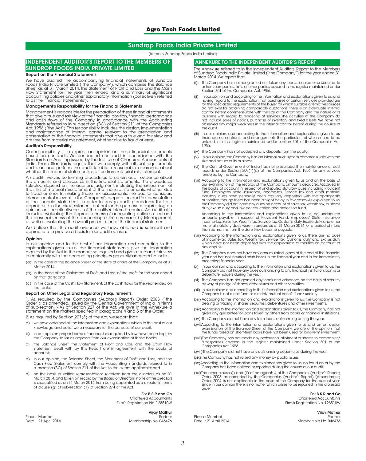# Sundrop Foods India Private Limited

(formerly Sundrop Foods India Limited)

# INDEPENDENT AUDITOR'S REPORT TO THE MEMBERS OF SUNDROP FOODS INDIA PRIVATE LIMITED

### Report on the Financial Statements

We have audited the accompanying financial statements of Sundrop<br>Foods India Private Limited (the Company), which comprise the Balance<br>Sheet as at 31 March 2014, the Statement of Profit and Loss and the Cash<br>Flow Statement to as the 'financial statements').

# Management's Responsibility for the Financial Statements

Management is responsible for the preparation of these financial statements<br>that give a true and fair view of the financial position, financial performance<br>and cash flows of the Company in accordance with the Accounting<br>St presentation of the financial statements that give a true and fair view and are free from material misstatement, whether due to fraud or error.

#### Auditor's Responsibility

Our responsibility is to express an opinion on these financial statements<br>based on our audit. We conducted our audit in accordance with the<br>Standards on Auditing issued by the Institute of Chartered Accountants of<br>India. T whether the financial statements are free from material misstatement.

An audit involves performing procedures to obtain audit evidence about the amounts and disclosures in the financial statements. The procedures selected depend on the auditor's judgment, including the assessment of<br>the risks of material misstatement of the financial statements, whether due<br>to fraud or error. In making those risk assessments, the auditor considers<br> opinion on the effectiveness of the entity's internal control. An audit also<br>includes evaluating the appropriateness of accounting policies used and<br>the reasonableness of the accounting estimates made by Management,<br>as wel

We believe that the audit evidence we have obtained is sufficient and appropriate to provide a basis for our audit opinion.

### Opinion

In our opinion and to the best of our information and according to the explanations given to us, the financial statements give the information required by the Act in the manner so required and give a true and fair view in conformity with the accounting principles generally accepted in India:

- (a) in the case of the Balance Sheet, of the state of affairs of the Company as at 31 March 2014;
- (b) in the case of the Statement of Profit and Loss, of the profit for the year ended on that date; and
- (c) in the case of the Cash Flow Statement, of the cash flows for the year ended on that date.

#### Report on Other Legal and Regulatory Requirements

1. As required by the Companies (Auditor's Report) Order, 2003 ("the Order"), as amended, issued by the Central Government of India in terms<br>of sub-section (4A) of Section 227 of the Act, we give in the Annexure a<br>statemen

2. As required by Section 227(3) of the Act, we report that:

- a) we have obtained all the information and explanations which to the best of our knowledge and belief were necessary for the purpose of our audit;
- b) in our opinion proper books of account as required by law have been kept by the Company so far as appears from our examination of those books;
- c) the Balance Sheet, the Statement of Profit and Loss, and the Cash Flow Statement dealt with by this Report are in agreement with the books of account;
- in our opinion, the Balance Sheet, the Statement of Profit and Loss, and the Cash Flow Statement comply with the Accounting Standards referred to in subsection (3C) of Section 211 of the Act, to the extent applicable; and
- e) on the basis of written representations received from the directors as on 31 March 2014, and taken on record by the Board of Directors, none of the directors is disqualified as on 31 March 2014, from being appointed as a director in terms of clause (g) of sub-section (1) of Section 274 of the Act.

For B S R and Co Chartered Accountants Firm's Registration No. 128510W

Vijay Mathur Place : Mumbai Partner Membership No. 046476

#### ANNEXURE TO THE INDEPENDENT AUDITOR'S REPORT

The Annexure referred to in the Independent Auditors' Report to the Members of Sundrop Foods India Private Limited ("the Company") for the year ended 31 March 2014. We report that:

- (i) The Company has neither granted nor taken any loans, secured or unsecured, to or from companies, firms or other parties covered in the register maintained under Section 301 of the Companies Act, 1956.
- (ii) In our opinion and according to the information and explanations given to us, and<br>having regard to the explanation that purchases of certain services provided are<br>for the specialized requirements of the buyer for whic do not exist for obtaining comparable quotations, there is an adequate internal control system commensurate with the size of the Company and the nature of its business with regard to rendering of services. The activities of the Company do<br>not include sales of goods, purchase of inventory and fixed assets. We have not<br>observed any major weakness in the internal control system dur the audit.
- (iii) In our opinion, and according to the information and explanations given to us,<br>there are no contracts and arrangements the particulars of which need to be<br>entered into the register maintained under section 301 of the 1956.
- (iv) The Company has not accepted any deposits from the public.
- (v) In our opinion, the Company has an internal audit system commensurate with the size and nature of its business.
- (vi) The Central Government of India has not prescribed the maintenance of cost records under Section 209(1)(d) of the Companies Act, 1956, for any services rendered by the Company.
- (vii) According to the information and explanations given to us and on the basis of our examination of the records of the Company, amounts deducted/accrued in the books of account in respect of undisputed statutory dues including Provident<br>fund, Employees' state insurance, Income-tax, Service tax and other material statutory dues have generally been regularly deposited with the appropriate authorities though there has been a slight delay in few cases. As explained to us, the Company did not have any dues on account of sales-tax, wealth tax, customs duty, excise duty and investor education and protection fund.

According to the information and explanations given to us, no undisputed<br>amounts payable in respect of Provident Fund, Employees' State Insurance,<br>Income-tax,Sales tax,Wealth tax,Service tax,Customs duty,Excise duty and ot than six months from the date they became payable.

- viii) According to the information and explanations given to us, there are no dues)<br>of Income-tax, Sales tax, Wealth tax, Service tax, Customs duty and Excise duty<br>which have not been deposited with the appropriate authori any dispute.
- (ix) The Company does not have any accumulated losses at the end of the financial year and has not incurred cash losses in the financial year and in the immediately preceding financial year.
- (x) In our opinion and according to the information and explanations given to us, the Company did not have any dues outstanding to any financial institution, banks or debenture holders during the year.
- (xi) The Company has not granted any loans and advances on the basis of security by way of pledge of shares, debentures and other securities.
- (xii) In our opinion and according to the information and explanations given to us, the Company is not a chit fund or a nidhi/ mutual benefit fund/ society.
- (xiii) According to the information and explanations given to us, the Company is not dealing or trading in shares, securities, debentures and other investments.
- (xiv)According to the information and explanations given to us, the Company has not given any guarantee for loans taken by others from banks or financial institutions.
- (xv) The Company did not have any term loans outstanding during the year.
- (xvi)According to the information and explanations given to us and on an overall examination of the Balance Sheet of the Company, we are of the opinion that the funds raised on short-term basis have not been used for long-term investment.
- (xvii)The Company has not made any preferential allotment of shares to companies/ firms/parties covered in the register maintained under Section 301 of the Companies Act, 1956.

(xviii)The Company did not have any outstanding debentures during the year. (xix)The Company has not raised any money by public issues.

- (xx)According to the information and explanations given to us, no fraud on or by the Company has been noticed or reported during the course of our audit.
- (xxi)The other clause (i) and (ii) of paragraph 4 of the Companies (Auditor's Report)<br>Order 2003, as amended by the Companies (Auditors Report) (Amendment)<br>Order, 2004, is not applicable in the case of the Company for the since in our opinion there is no matter which arises to be reported in the aforesaid order.

For B S R and Co Chartered Accountants Firm's Registration No. 128510W

Place : Mumbai<br>Date : 21 April 2014

**Vijay Mathur**<br>Partner Membership No. 046476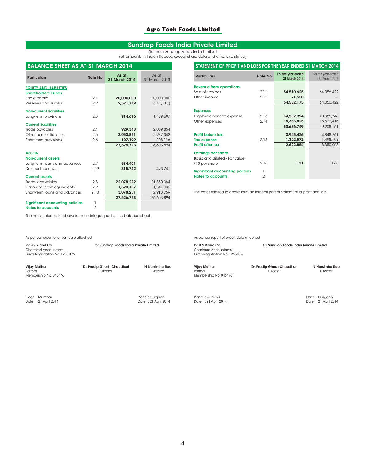# Sundrop Foods India Private Limited

(formerly Sundrop Foods India Limited) (all amounts in Indian Rupees, except share data and otherwise stated)

| <b>BALANCE SHEET AS AT 31 MARCH 2014</b> |                |                        |                        |
|------------------------------------------|----------------|------------------------|------------------------|
| <b>Particulars</b>                       | Note No.       | As at<br>31 March 2014 | As at<br>31 March 2013 |
| <b>EQUITY AND LIABILITIES</b>            |                |                        |                        |
| <b>Shareholders' Funds</b>               |                |                        |                        |
| Share capital                            | 2.1            | 20,000,000             | 20,000,000             |
| Reserves and surplus                     | 2.2            | 2,521,739              | (101, 115)             |
| <b>Non-current liabilities</b>           |                |                        |                        |
| Long-term provisions                     | 2.3            | 914.616                | 1,439,697              |
| <b>Current liabilities</b>               |                |                        |                        |
| Trade payables                           | 2.4            | 929,348                | 2.069.854              |
| Other current liabilites                 | 2.5            | 3,053,821              | 2.987.342              |
| Short-term provisions                    | 2.6            | 107,199                | 208,116                |
|                                          |                | 27,526,723             | 26,603,894             |
| <b>ASSETS</b>                            |                |                        |                        |
| <b>Non-current assets</b>                |                |                        |                        |
| Long-term loans and advances             | 2.7            | 534,401                |                        |
| Deferred tax asset                       | 2.19           | 315,742                | 493,741                |
| <b>Current assets</b>                    |                |                        |                        |
| Trade receivables                        | 2.8            | 22,078,222             | 21,350,364             |
| Cash and cash equivalents                | 2.9            | 1,520,107              | 1,841,030              |
| Short-term loans and advances            | 2.10           | 3,078,251              | 2,918,759              |
|                                          |                | 27,526,723             | 26,603,894             |
| <b>Significant accounting policies</b>   | 1              |                        |                        |
| Notes to accounts                        | $\overline{2}$ |                        |                        |

| STATEMENT OF PROFIT AND LOSS FOR THE YEAR ENDED 31 MARCH 2014 |                     |                                     |                                     |
|---------------------------------------------------------------|---------------------|-------------------------------------|-------------------------------------|
| <b>Particulars</b>                                            | Note No.            | For the year ended<br>31 March 2014 | For the year ended<br>31 March 2013 |
| <b>Revenue from operations</b>                                |                     |                                     |                                     |
| Sale of services                                              | 2.11                | 54,510,625                          | 64,056,422                          |
| Other income                                                  | 2.12                | 71,550                              |                                     |
|                                                               |                     | 54,582,175                          | 64,056,422                          |
| <b>Expenses</b>                                               |                     |                                     |                                     |
| Employee benefits expense                                     | 2.13                | 34,252,924                          | 40,385,746                          |
| Other expenses                                                | 2.14                | 16,383,825                          | 18,822,415                          |
|                                                               |                     | 50,636,749                          | 59,208,161                          |
| Profit before tax                                             |                     | 3,945,426                           | 4,848,261                           |
| Tax expense                                                   | 2.15                | 1,322,572                           | 1,498,193                           |
| <b>Profit after tax</b>                                       |                     | 2,622,854                           | 3,350,068                           |
| <b>Earnings per share</b><br>Basic and diluted - Par value    | 2.16                | 1.31                                | 1.68                                |
| ₹10 per share                                                 |                     |                                     |                                     |
| <b>Significant accounting policies</b><br>Notes to accounts   | ı<br>$\overline{2}$ |                                     |                                     |

The notes referred to above form an integral part of statement of profit and loss.

The notes referred to above form an integral part of the balance sheet.

As per our report of enven date attached

| for <b>B S R and Co</b><br><b>Chartered Accountants</b><br>Firm's Registration No. 128510W | for Sundrop Foods India Private Limited |                |
|--------------------------------------------------------------------------------------------|-----------------------------------------|----------------|
| <b>Vijay Mathur</b>                                                                        | Dr. Pradip Ghosh Chaudhuri              | N Narsimha Rao |
| Partner                                                                                    | Director                                | Director       |

Place : Mumbai Place : Gurgaon Date : 21 April 2014 Date : 21 April 2014

Membership No. 046476

As per our report of enven date attached

for **B S R and Co** for Sundrop Foods India Private Limited Chartered Accountants Firm's Registration No. 128510W

Vijay Mathur **Dr. Pradip Ghosh Chaudhuri** N Narsimha Rao Partner **Director** Director Partner Director Director Membership No. 046476

Place : Mumbai Place : Gurgaon Date : 21 April 2014 Date : 21 April 2014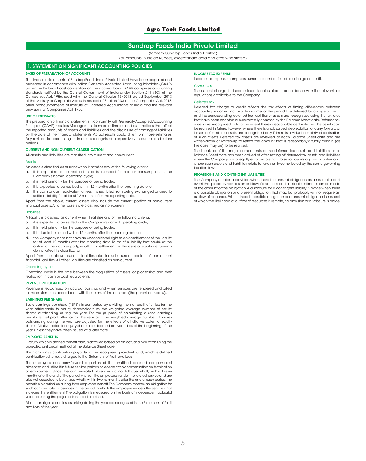### Sundrop Foods India Private Limited

(formerly Sundrop Foods India Limited)

(all amounts in Indian Rupees, except share data and otherwise stated)

### 1. STATEMENT ON SIGNIFICANT ACCOUNTING POLICIES

#### **IS OF PREPARATION OF ACCOUNTS**

The financial statements of Sundrop Foods India Private Limited have been prepared and presented in accordance with Indian Generally Accepted Accounting Principles (GAAP) under the historical cost convention on the accrual basis. GAAP comprises accounting standards notified by the Central Government of India under Section 211 (3C) of the Companies Act, 1956, read with the General Circular 15/2013 dated September 2013 of the Ministry of Corporate Affairs in respect of Section 133 of the Companies Act, 2013, other pronouncements of Institute of Chartered Accountants of India and the relevant provisions of Companies Act, 1956.

#### USE OF ESTIMATES

The preparation of financial statements in conformity with Generally Accepted Accounting Principles (GAAP) requires Management to make estimates and assumptions that affect the reported amounts of assets and liabilities and the disclosure of contingent liabilities on the date of the financial statements. Actual results could differ from those estimates. Any revision to accounting estimates is recognised prospectively in current and future periods.

### CURRENT AND NON-CURRENT CLASSIFICATION

All assets and liabilities are classified into current and non-current.

#### Assets

An asset is classified as current when it satisfies any of the following criteria:

- a. it is expected to be realised in, or is intended for sale or consumption in the Company's normal operating cycle;
- b. it is held primarily for the purpose of being traded;
- c. it is expected to be realised within 12 months after the reporting date; or
- d. it is cash or cash equivalent unless it is restricted from being exchanged or used to settle a liability for at least 12 months after the reporting date.

Apart from the above, current assets also include the current portion of non-current financial assets. All other assets are classified as non-current.

#### Liabilities

- A liability is classified as current when it satisfies any of the following criteria:
- a. it is expected to be settled in the Company's normal operating cycle;
- b. it is held primarily for the purpose of being traded;
- c. it is due to be settled within 12 months after the reporting date; or
- d. the Company does not have an unconditional right to defer settlement of the liability for at least 12 months after the reporting date. Terms of a liability that could, at the option of the counter party, result in its settlement by the issue of equity instruments do not affect its classification.

Apart from the above, current liabilities also include current portion of non-current financial liabilities. All other liabilities are classified as non-current.

#### Operating cycle

Operating cycle is the time between the acquisition of assets for processing and their realisation in cash or cash equivalents.

#### REVENUE RECOGNITION

Revenue is recognised on accrual basis as and when services are rendered and billed to the customer in accordance with the terms of the contract (the parent company).

#### EARNINGS PER SHARE

Basic earnings per share ("EPS") is computed by dividing the net profit after tax for the year attributable to equity shareholders by the weighted average number of equity shares outstanding during the year. For the purpose of calculating diluted earnings per share, net profit after tax for the year and the weighted average number of shares outstanding during the year are adjusted for the effects of all dilutive potential equity shares. Dilutive potential equity shares are deemed converted as of the beginning of the year, unless they have been issued at a later date.

#### EMPLOYEE BENEFITS

Gratuity which is defined benefit plan, is accrued based on an actuarial valuation using the projected unit credit method at the Balance Sheet date.

The Company's contribution payable to the recognised provident fund, which is defined contribution scheme, is charged to the Statement of Profit and Loss.

The employees can carry-forward a portion of the unutilised accrued compensated absences and utilise it in future service periods or receive cash compensation on termination of employment. Since the compensated absences do not fall due wholly within twelve months after the end of the period in which the employees render the related service and are also not expected to be utilized wholly within twelve months after the end of such period, the benefit is classified as a long-term employee benefit. The Company records an obligation for such compensated absences in the period in which the employee renders the services that increase this entitlement. The obligation is measured on the basis of independent actuarial valuation using the projected unit credit method.

All actuarial gains and losses arising during the year are recognised in the Statement of Profit and Loss of the year.

#### INCOME TAX EXPENSE

Income tax expense comprises current tax and deferred tax charge or credit.

#### *Current tax*

The current charge for income taxes is calculated in accordance with the relevant tax regulations applicable to the Company.

#### *Deferred tax*

Deferred tax charge or credit reflects the tax effects of timing differences between accounting income and taxable income for the period. The deferred tax charge or credit and the corresponding deferred tax liabilities or assets are recognised using the tax rates that have been enacted or substantially enacted by the Balance Sheet date. Deferred tax assets are recognised only to the extent there is reasonable certainty that the assets can be realised in future; however, where there is unabsorbed depreciation or carry forward of losses, deferred tax assets are recognised only if there is a virtual certainty of realisation of such assets. Deferred tax assets are reviewed at each Balance Sheet date and are written-down or written-up to reflect the amount that is reasonably/virtually certain (as the case may be) to be realised.

The break-up of the major components of the deferred tax assets and liabilities as at Balance Sheet date has been arrived at after setting off deferred tax assets and liabilities where the Company has a legally enforceable right to set-off assets against liabilities and where such assets and liabilities relate to taxes on income levied by the same governing taxation laws.

#### PROVISIONS AND CONTINGENT LIABILITIES

The Company creates a provision when there is a present obligation as a result of a past event that probably requires an outflow of resources and a reliable estimate can be made of the amount of the obligation. A disclosure for a contingent liability is made when there is a possible obligation or a present obligation that may, but probably will not, require an outflow of resources. Where there is possible obligation or a present obligation in respect of which the likelihood of outflow of resources is remote, no provision or disclosure is made.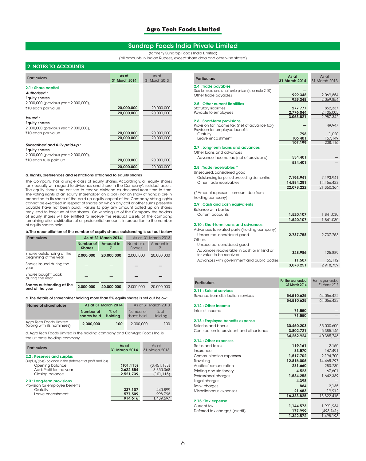### Sundrop Foods India Private Limited

(formerly Sundrop Foods India Limited)

### (all amounts in Indian Rupees, except share data and otherwise stated)

### 2. Notes to accounts

| <b>Particulars</b>                    | As at<br>31 March 2014 | As at<br>31 March 2013 |
|---------------------------------------|------------------------|------------------------|
| 2.1 : Share capital                   |                        |                        |
| Authorised:                           |                        |                        |
| <b>Equity shares</b>                  |                        |                        |
| 2,000,000 (previous year: 2,000,000), |                        |                        |
| ₹10 each par value                    | 20,000,000             | 20,000,000             |
|                                       | 20,000,000             | 20,000,000             |
| Issued :                              |                        |                        |
| <b>Equity shares</b>                  |                        |                        |
| 2,000,000 (previous year: 2,000,000), |                        |                        |
| ₹10 each par value                    | 20,000,000             | 20,000,000             |
|                                       | 20,000,000             | 20,000,000             |
| Subscribed and fully paid-up:         |                        |                        |
| <b>Equity shares</b>                  |                        |                        |
| 2,000,000 (previous year: 2,000,000), |                        |                        |
| ₹10 each fully paid up                | 20,000,000             | 20,000,000             |
|                                       | 20,000,000             | 20,000,000             |

### a. Rights, preferences and restrictions attached to equity shares

The Company has a single class of equity shares. Accordingly, all equity shares rank equally with regard to dividends and share in the Company's residual assets. The equity shares are entitled to receive dividend as declared from time to time. The voting rights of an equity shareholder on a poll (not on show of hands) are in proportion to its share of the paid-up equity capital of the Company. Voting rights cannot be exercised in respect of shares on which any call or other sums presently payable have not been paid. Failure to pay any amount called up on shares may lead to forfeiture of the shares. On winding up of the Company, the holders of equity shares will be entitled to receive the residual assets of the company, remaining after distribution of all preferential amounts in proportion to the number of equity shares held.

# b. The reconciliation of the number of equity shares outstanding is set out below

| <b>Particulars</b>                                 | As at 31 March 2014        |                |                            | As at 31 March 2013 |
|----------------------------------------------------|----------------------------|----------------|----------------------------|---------------------|
|                                                    | Number of<br><b>Shares</b> | Amount in<br>₹ | Number of<br><b>Shares</b> | Amount in           |
| Shares outstanding at the<br>beginning of the year | 2,000,000                  | 20,000,000     | 2,000,000                  | 20,000,000          |
| Shares issued during the<br>year                   |                            |                |                            |                     |
| Shares bought back<br>during the year              |                            |                |                            |                     |
| Shares outstanding at the<br>end of the year       | 2,000,000                  | 20,000,000     | 2,000,000                  | 20,000,000          |

### c. The details of shareholder holding more than 5% equity shares is set out below:

| Name of shareholder                                  | As at 31 March 2014      |                   |                          | As at 31 March 2013 |
|------------------------------------------------------|--------------------------|-------------------|--------------------------|---------------------|
|                                                      | Number of<br>shares held | $%$ of<br>Holdina | Number of<br>shares held | $%$ of<br>Holdina   |
| Agro Tech Foods Limited<br>(along with its nominees) | 2,000,000                | 100               | 2.000.000                | 100                 |

d. Agro Tech Foods Limited is the holding company and ConAgra Foods Inc. is the ultimate holding company.

| <b>Particulars</b>                                                                                          | As at<br>31 March 2014               | As at<br>31 March 2013                 |
|-------------------------------------------------------------------------------------------------------------|--------------------------------------|----------------------------------------|
| 2.2 : Reserves and surplus<br>Surplus/(loss) balance in the statement of profit and loss<br>Opening balance |                                      |                                        |
| Add: Profit for the year<br>Closing balance                                                                 | (101, 115)<br>2,622,854<br>2,521,739 | (3,451,183)<br>3.350.068<br>(101, 115) |
| 2.3 : Long-term provisions<br>Provision for employee benefits                                               |                                      |                                        |
| Gratuity<br>Leave encashment                                                                                | 337,107<br>577,509                   | 440.899<br>998.798                     |
|                                                                                                             | 914.616                              | 1.439.697                              |

| <b>Particulars</b>                                   | As at         | As at         |
|------------------------------------------------------|---------------|---------------|
|                                                      | 31 March 2014 | 31 March 2013 |
| 2.4 : Trade payables                                 |               |               |
| Due to micro and small enterprises (refer note 2.20) |               |               |
| Other trade payables                                 | 929,348       | 2,069,854     |
|                                                      | 929,348       | 2,069,854     |
| 2.5 : Other current liabilities                      |               |               |
| <b>Statutory liabilities</b>                         | 277.777       | 852,337       |
| Payable to employees                                 | 2,776,044     | 2,135,005     |
| 2.6 : Short-term provisions                          | 3,053,821     | 2,987,342     |
| Provision for income tax (net of advance tax)        |               | 49.947        |
| Provision for employee benefits                      |               |               |
| Gratuitv                                             | 798           | 1,020         |
| Leave encashment                                     | 106,401       | 157,149       |
|                                                      | 107,199       | 208,116       |
| 2.7 : Long-term loans and advances                   |               |               |
| Other loans and advances                             |               |               |
| Advance income tax (net of provisions)               | 534,401       |               |
|                                                      | 534,401       |               |
| 2.8 : Trade receivables *                            |               |               |
| Unsecured, considered good                           |               |               |
| Outstanding for period exceeding six months          | 7,193,941     | 7,193,941     |
| Other trade receivables                              | 14,884,281    | 14, 156, 423  |
|                                                      | 22,078,222    | 21,350,364    |
|                                                      |               |               |
| (*Amount represents amount due from                  |               |               |
| holding company)                                     |               |               |
| 2.9 : Cash and cash equivalents                      |               |               |
| <b>Balance with banks</b>                            |               |               |
| Current accounts                                     | 1,520,107     | 1,841,030     |
|                                                      | 1,520,107     | 1,841,030     |
| 2.10 : Short-term loans and advances                 |               |               |
| Advances to related party (holding company)          |               |               |
| Unsecured, considered good                           | 2,737,758     | 2,737,758     |
| Others                                               |               |               |
| Unsecured, considered good                           |               |               |
|                                                      |               |               |
| Advances recoverable in cash or in kind or           | 328,986       | 125,889       |
| for value to be received                             |               |               |
| Advances with government and public bodies           | 11,507        | 55,112        |
|                                                      | 3,078,251     | 2,918,759     |

| <b>Particulars</b>                        | For the year ended<br>31 March 2014 | For the year ended<br>31 March 2013 |
|-------------------------------------------|-------------------------------------|-------------------------------------|
| 2.11 : Sale of services                   |                                     |                                     |
| Revenue from distribution services        | 54,510,625                          | 64,056,422                          |
|                                           | 54,510,625                          | 64,056,422                          |
| 2.12 : Other income                       |                                     |                                     |
| Interest income                           | 71,550                              |                                     |
|                                           | 71,550                              |                                     |
| 2.13 : Employee benefits expense          |                                     |                                     |
| Salaries and bonus                        | 30,450,203                          | 35,000,600                          |
| Contribution to provident and other funds | 3,802,721                           | 5,385,146                           |
|                                           | 34,252,924                          | 40,385,746                          |
| 2.14 : Other expenses                     |                                     |                                     |
| Rates and taxes                           | 119,161                             | 2,160                               |
| Insurance                                 | 83,570                              | 147.491                             |
| Communication expenses                    | 1,517,702                           | 2.194.700                           |
| Travelling                                | 12,816,006                          | 14,465,297                          |
| Auditors' remuneration                    | 281,660                             | 280,730                             |
| Printing and stationery                   | 4,523                               | 67,601                              |
| Professional charges                      | 1,534,258                           | 1,642,389                           |
| Legal charges                             | 4.398                               |                                     |
| <b>Bank charges</b>                       | 864                                 | 2.135                               |
| Miscellaneous expenses                    | 21,683                              | 19,912                              |
|                                           | 16,383,825                          | 18,822,415                          |
| 2.15 : Tax expense                        |                                     |                                     |
| Current tax                               | 1,144,573                           | 1.991.934                           |
| Deferred tax charge/ (credit)             | 177,999                             | (493, 741)                          |
|                                           | 1,322,572                           | 1,498,193                           |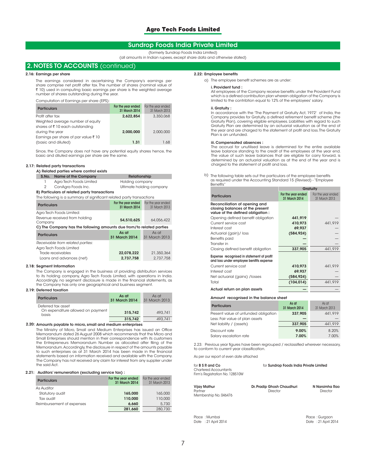# Sundrop Foods India Private Limited

(formerly Sundrop Foods India Limited)

(all amounts in Indian rupees, except share data and otherwise stated)

### 2. NOTES TO ACCOUNTS (continued)

#### 2.16: Earnings per share

The earnings considered in ascertaining the Company's earnings per share comprise net profit after tax. The number of shares (nominal value of ` 10) used in computing basic earnings per share is the weighted average number of shares outstanding during the year.

Computation of Earnings per share (EPS):

| <b>Particulars</b>                                                                                   | For the year ended<br>31 March 2014 | For the year ended<br>31 March 2013 |
|------------------------------------------------------------------------------------------------------|-------------------------------------|-------------------------------------|
| Profit after tax<br>Weighted average number of equity                                                | 2.622.854                           | 3,350,068                           |
| shares of ₹10 each outstanding<br>during the year<br>Earnings per share of par value $\bar{\tau}$ 10 | 2,000,000                           | 2,000,000                           |
| (basic and diluted)                                                                                  | 1.31                                | 1.68                                |

Since, the Company does not have any potential equity shares hence, the basic and diluted earnings per share are the same.

### 2.17: Related party transactions

A) Related parties where control exists

| S.No. | Name of the Company                                                  | Relationship             |
|-------|----------------------------------------------------------------------|--------------------------|
|       | Agro Tech Foods Limited                                              | Holding company          |
| 2     | ConAgra Foods Inc.                                                   | Ultimate holding company |
|       | B) Particulars of related party transactions                         |                          |
|       | The following is a summary of significant related party transactions |                          |
|       |                                                                      |                          |

| <b>Particulars</b>                                                   | For the year ended<br>31 March 2014 | For the year ended<br>31 March 2013 |
|----------------------------------------------------------------------|-------------------------------------|-------------------------------------|
| Agro Tech Foods Limited:<br>Revenue received from holding<br>Company | 54.510.625                          | 64.056.422                          |
| C) The Company has the following amounts due from/to related parties |                                     |                                     |
| <b>Particulars</b>                                                   | As at<br>31 March 2014              | As at<br>31 March 2013              |
| Receivable from related parties:                                     |                                     |                                     |
| Agro Tech Foods Limited                                              |                                     |                                     |
| Trade receivables                                                    | 22,078,222                          | 21,350,364                          |
| Loans and advances (net)                                             | 2,737,758                           | 2.737.758                           |

#### 2.18: Segment Information

The Company is engaged in the business of providing distribution services to its holding company, Agro Tech Foods Limited, with operations in India. Accordingly, no segment disclosure is made in the financial statements, as the Company has only one geographical and business segment.

#### 2.19: Deferred taxation

| <b>Particulars</b>                                               | As at<br>31 March 2014 | As at<br>31 March 2013 |
|------------------------------------------------------------------|------------------------|------------------------|
| Deferred tax asset<br>On expenditure allowed on payment<br>basis | 315,742                | 493,741                |
|                                                                  | 315,742                | 493,741                |
|                                                                  | . .                    |                        |

### 2.20: Amounts payable to micro, small and medium enterprises

The Ministry of Micro, Small and Medium Enterprises has issued an Office Memorandum dated 26 August 2008 which recommends that the Micro and Small Enterprises should mention in their correspondence with its customers the Entrepreneurs Memorandum Number as allocated after filing of the Memorandum. Accordingly, the disclosure in respect of the amounts payable to such enterprises as at 31 March 2014 has been made in the financial statements based on information received and available with the Company. The Company has not received any claim for interest from any supplier under the said Act.

#### 2.21: Auditors' remuneration (excluding service tax) :

| <b>Particulars</b>        | For the year ended<br>31 March 2014 | For the year ended<br>31 March 2013 |
|---------------------------|-------------------------------------|-------------------------------------|
| As Auditor                |                                     |                                     |
| Statutory audit           | 165,000                             | 165,000                             |
| Tax audit                 | 110,000                             | 110,000                             |
| Reimbursement of expenses | 6,660                               | 5,730                               |
|                           | 281,660                             | 280,730                             |

#### 2.22: Employee benefits

a) The employee benefit schemes are as under:

#### i. Provident fund :

 All employees of the Company receive benefits under the Provident Fund which is a defined contribution plan wherein obligation of the Company is limited to the contribtion equal to 12% of the employees' salary.

#### ii. Gratuity :

 In accordance with the 'The Payment of Gratuity Act, 1972' of India, the Company provides for Gratuity, a defined retirement benefit scheme (the Gratuity Plan), covering eligible employees. Liabilities with regard to such Gratuity Plan are determined by an actuarial valuation as at the end of the year and are charged to the statement of profit and loss. The Gratuity Plan is an unfunded.

#### iii. Compensated absences :

 The accrual for unutilised leave is determined for the entire available leave balance standing to the credit of the employees at the year end. The value of such leave balances that are eligible for carry forward, is determined by an actuarial valuation as at the end of the year and is charged to the statement of profit and loss.

b) The following table sets out the particulars of the employee benefits as required under the Accounting Standard 15 (Revised) - "Employee Benefits"

|                                                                                                      | Gratuity                            |                                     |  |  |
|------------------------------------------------------------------------------------------------------|-------------------------------------|-------------------------------------|--|--|
| <b>Particulars</b>                                                                                   | For the year ended<br>31 March 2014 | For the year ended<br>31 March 2013 |  |  |
| Reconciliation of opening and<br>closing balances of the present<br>value of the defined obligation: |                                     |                                     |  |  |
| Opening defined benefit obligation                                                                   | 441.919                             |                                     |  |  |
| Current service cost                                                                                 | 410,973                             | 441,919                             |  |  |
| Interest cost                                                                                        | 69,937                              |                                     |  |  |
| Actuarial (gain)/loss                                                                                | (584, 924)                          |                                     |  |  |
| Benefits paid                                                                                        |                                     |                                     |  |  |
| Transfer in                                                                                          |                                     |                                     |  |  |
| Closing defined benefit obligation                                                                   | 337,905                             | 441,919                             |  |  |
| Expense recognised in statement of profit<br>and loss under employee benifits expense                |                                     |                                     |  |  |
| Current service cost                                                                                 | 410,973                             | 441,919                             |  |  |
| Interest cost                                                                                        | 69,937                              |                                     |  |  |
| Net actuarial (gains) /losses                                                                        | (584, 924)                          |                                     |  |  |
| Total                                                                                                | (104, 014)                          | 441,919                             |  |  |
| Actual return on plan assets                                                                         |                                     |                                     |  |  |

#### Amount recognised in the balance sheet

| <b>Particulars</b>                   | As at<br>31 March 2014 | As at<br>31 March 2013 |
|--------------------------------------|------------------------|------------------------|
| Present value of unfunded obligation | 337,905                | 441.919                |
| Less: Fair value of plan assets      |                        |                        |
| Net liability / (assets)             | 337,905                | 441.919                |
| Discount rate                        | 9.00%                  | 8.20%                  |
| Salary escalation rate               | 7.00%                  | 7.00%                  |

2.23: Previous year figures have been regrouped / reclassified wherever necessary, to conform to current year classification.

As per our report of even date attached

|                                                                                     | <b>Viiav Mathur</b> | Dr. Pradip Ghosh Chaudhuri              | N Narsimha Rao |
|-------------------------------------------------------------------------------------|---------------------|-----------------------------------------|----------------|
| for <b>B S R and Co</b><br>Chartered Accountants<br>Firm's Registration No. 128510W |                     | for Sundrop Foods India Private Limited |                |

Membership No. 046476

Partner Director Director

Place : Mumbai Place : Gurgaon Date : 21 April 2014 Date : 21 April 2014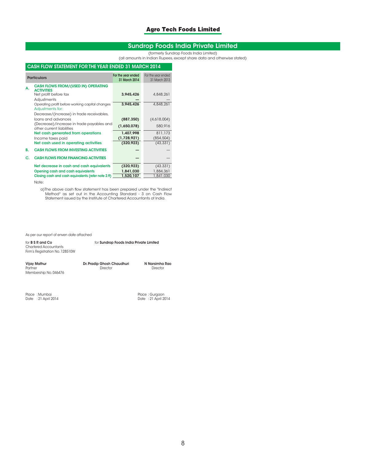# Sundrop Foods India Private Limited

(formerly Sundrop Foods India Limited)

(all amounts in Indian Rupees, except share data and otherwise stated)

### Cash Flow Statement for the year ended 31 March 2014

| <b>Particulars</b> |                                                                        | For the year ended<br>31 March 2014 | For the year ended<br>31 March 2013 |
|--------------------|------------------------------------------------------------------------|-------------------------------------|-------------------------------------|
| А.                 | CASH FLOWS FROM/(USED IN) OPERATING<br><b>ACTIVITIES</b>               |                                     |                                     |
|                    | Net profit before tax                                                  | 3,945,426                           | 4,848,261                           |
|                    | Adjustments                                                            |                                     |                                     |
|                    | Operating profit before working capital changes<br>Adjustments for:    | 3,945,426                           | 4,848,261                           |
|                    | Decrease/(increase) in trade receivables,                              |                                     |                                     |
|                    | loans and advances                                                     | (887, 350)                          | (4,618,004)                         |
|                    | (Decrease)/increase in trade payables and<br>other current liabilities | (1,650,078)                         | 580,916                             |
|                    | Net cash generated from operations                                     | 1,407,998                           | 811.173                             |
|                    | Income taxes paid                                                      | (1,728,921)                         | (854, 504)                          |
|                    | Net cash used in operating activities                                  | (320, 923)                          | (43, 331)                           |
| В.                 | <b>CASH FLOWS FROM INVESTING ACTIVITIES</b>                            |                                     |                                     |
| C.                 | <b>CASH FLOWS FROM FINANCING ACTIVITIES</b>                            |                                     |                                     |
|                    | Net decrease in cash and cash equivalents                              | (320, 923)                          | (43.331)                            |
|                    | Opening cash and cash equivalents                                      | 1,841,030                           | 1,884,361                           |

Opening cash and cash equivalents 1,841,030 1,884,361 Closing cash and cash equivalents (refer note 2.9) 1,520,107 1,841,030 Note:

a)The above cash flow statement has been prepared under the "Indirect<br>Method" as set out in the Accounting Standard - 3 on Cash Flow<br>Statement issued by the Institute of Chartered Accountants of India.

As per our report of enven date attached

| for <b>B S R and Co</b><br>Chartered Accountants<br>Firm's Registration No. 128510W | for Sundrop Foods India Private Limited |                            |  |  |
|-------------------------------------------------------------------------------------|-----------------------------------------|----------------------------|--|--|
| Vijay Mathur<br>Partner<br>Membership No. 046476                                    | Dr. Pradip Ghosh Chaudhuri<br>Director  | N Narsimha Rao<br>Director |  |  |

Place : Mumbai<br>Date : 21 April 2014

Date : 21 April 2014 Date : 21 April 2014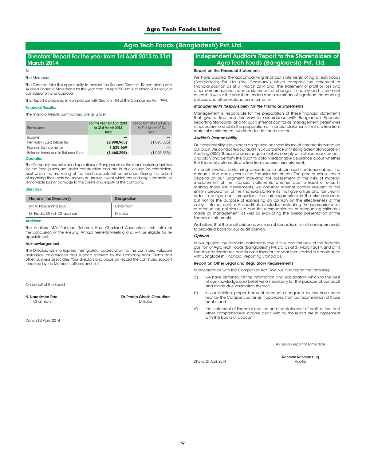### Directors' Report For the year from 1st April 2013 to 31st March 2014

To

#### The Members

The Directors take this opportunity to present the Second Directors' Report along with Audited Financial Statements for the year from 1st April 2013 to 31st March 2014 for your consideration and approval.

This Report is prepared in compliance with Section 184 of the Companies Act, 1994.

#### Financial Results:

The financial Results, summarised, are as under.

| <b>Particulars</b>                                                                                                 | For the year 1st April 2013<br>to 31st March 2014<br>Taka | Period from 8th April 2012<br>to 31st March 2013<br>Taka |
|--------------------------------------------------------------------------------------------------------------------|-----------------------------------------------------------|----------------------------------------------------------|
| Income<br>Net Profit/ (Loss) before tax<br>Provision for income tax<br><b>Balance transferred to Balance Sheet</b> | (2,998,965)<br>1,538,669<br>(1,460,296)                   | (1,093,885)<br>(1,093,885)                               |

### Operation:

The Company has not started operations in Bangladesh as the manufacturing facilities for the food plants are under construction and are in due course for completion, post which the marketing of the food products will commence. During this period of reporting there was no uneven or unusual event which caused any substantial or remarkable loss or damage to the assets and equity of the company.

#### Directors:

| Name of the Director(s)    | <b>Designation</b> |
|----------------------------|--------------------|
| Mr. N. Narasimha Rao       | Chairman           |
| Dr. Pradip Ghosh Chaudhuri | Director           |

### Auditors:

The Auditors, M/s. Rahman Rahman Huq, Chartered Accountants, will retire at the conclusion of the ensuing Annual General Meeting and will be eligible for reappointment.

#### Acknowledgement:

The Directors wish to express their grateful appreciation for the continued valuable assistance, co-operation and support received by the Company from Clients and other business associates. Your directors also place on record the continued support rendered by the Members, officers and staff.

On behalf of the Board

N. Narasimha Rao **Dr. Pradip Ghosh Chaudhuri**<br>Chairman Director Chairman Director

Date: 21st April, 2014

### Independent Auditor's Report to the Shareholders of Agro Tech Foods (Bangladesh) Pvt. Ltd.

#### Report on the Financial Statements

We have audited the accompanying financial statements of Agro Tech Foods (Bangladesh) Pvt. Ltd. (the 'Company'), which comprise the statement of financial position as at 31 March 2014 and the statement of profit or loss and other comprehensive income, statement of changes in equity and statement of cash flows for the year then ended and a summary of significant accounting policies and other explanatory information.

#### *Management's Responsibility for the Financial Statements*

Management is responsible for the preparation of these financial statements that give a true and fair view in accordance with Bangladesh Financial Reporting Standards, and for such internal control as management determines is necessary to enable the preparation of financial statements that are free from material misstatement, whether due to fraud or error.

#### *Auditor's Responsibility*

Our responsibility is to express an opinion on these financial statements based on our audit. We conducted our audit in accordance with Bangladesh Standards on Auditing (BSA). Those standards require that we comply with ethical requirements and plan and perform the audit to obtain reasonable assurance about whether the financial statements are free from material misstatement.

An audit involves performing procedures to obtain audit evidence about the amounts and disclosures in the financial statements. The procedures selected depend on our judgment, including the assessment of the risks of material misstatement of the financial statements, whether due to fraud or error. In making those risk assessments, we consider internal control relevant to the entity's preparation of the financial statements that give a true and fair view in order to design audit procedures that are appropriate in the circumstances, but not for the purpose of expressing an opinion on the effectiveness of the entity's internal control. An audit also includes evaluating the appropriateness of accounting policies used and the reasonableness of accounting estimates made by management, as well as evaluating the overall presentation of the financial statements.

We believe that the audit evidence we have obtained is sufficient and appropriate to provide a basis for our audit opinion.

#### *Opinion*

In our opinion, the financial statements give a true and fair view of the financial position of Agro Tech Foods (Bangladesh) Pvt. Ltd. as at 31 March 2014, and of its financial performance and its cash flows for the year then ended in accordance with Bangladesh Financial Reporting Standards.

#### Report on Other Legal and Regulatory Requirements

In accordance with the Companies Act 1994, we also report the following:

- a) we have obtained all the information and explanation which to the best of our knowledge and belief were necessary for the purpose of our audit and made due verification thereof;
- b) in our opinion, proper books of account as required by law have been kept by the Company so far as it appeared from our examination of those books; and
- c) the statement of financial position and the statement of profit or loss and other comprehensive income dealt with by the report are in agreement with the books of account.

As per our report of same date

Dhaka, 21 April 2014 **Auditor** 

Rahman Rahman Huq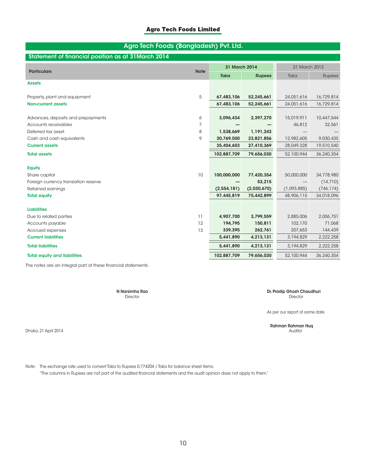# Agro Tech Foods (Bangladesh) Pvt. Ltd.

# Statement of financial position as at 31March 2014

| <b>Particulars</b>                   |             | 31 March 2014 |               | 31 March 2013 |               |
|--------------------------------------|-------------|---------------|---------------|---------------|---------------|
|                                      | <b>Note</b> | Taka          | <b>Rupees</b> | Taka          | <b>Rupees</b> |
| <b>Assets</b>                        |             |               |               |               |               |
|                                      |             |               |               |               |               |
| Property, plant and equipment        | 5           | 67,483,106    | 52,245,661    | 24,051,616    | 16,729,814    |
| <b>Non-current assets</b>            |             | 67,483,106    | 52,245,661    | 24,051,616    | 16,729,814    |
|                                      |             |               |               |               |               |
| Advances, deposits and prepayments   | 6           | 3,096,434     | 2,397,270     | 15,019,911    | 10,447,544    |
| Accounts receivables                 | 7           |               |               | 46,812        | 32,561        |
| Deferred tax asset                   | 8           | 1,538,669     | 1,191,243     |               |               |
| Cash and cash equivalents            | 9           | 30,769,500    | 23,821,856    | 12,982,605    | 9,030,435     |
| <b>Current assets</b>                |             | 35,404,603    | 27,410,369    | 28,049,328    | 19,510,540    |
| <b>Total assets</b>                  |             | 102,887,709   | 79,656,030    | 52,100,944    | 36,240,354    |
|                                      |             |               |               |               |               |
| <b>Equity</b>                        |             |               |               |               |               |
| Share capital                        | 10          | 100,000,000   | 77,420,354    | 50,000,000    | 34,778,980    |
| Foreign currency translation reserve |             |               | 53,215        |               | (14, 710)     |
| Retained earnings                    |             | (2, 554, 181) | (2,030,670)   | (1,093,885)   | (746, 174)    |
| <b>Total equity</b>                  |             | 97,445,819    | 75,442,899    | 48,906,115    | 34,018,096    |
| <b>Liabilities</b>                   |             |               |               |               |               |
| Due to related parties               | 11          | 4,907,700     | 3,799,559     | 2,885,006     | 2,006,751     |
| Accounts payable                     | 12          | 194,795       | 150,811       | 102,170       | 71,068        |
| Accrued expenses                     | 13          | 339,395       | 262,761       | 207,653       | 144,439       |
| <b>Current liabilities</b>           |             | 5,441,890     | 4,213,131     | 3,194,829     | 2,222,258     |
| <b>Total liabilities</b>             |             | 5,441,890     | 4,213,131     | 3,194,829     | 2,222,258     |
| <b>Total equity and liabilities</b>  |             | 102,887,709   | 79,656,030    | 52,100,944    | 36,240,354    |

The notes are an integral part of these financial statements.

 N Narsimha Rao Dr. Pradip Ghosh Chaudhuri Director Director

As per our report of same date

Rahman Rahman Huq

Dhaka, 21 April 2014

Note: The exchange rate used to convert Taka to Rupees 0.774204 / Taka for balance sheet items. "The columns in Rupees are not part of the audited financial statements and the audit opinion does not apply to them."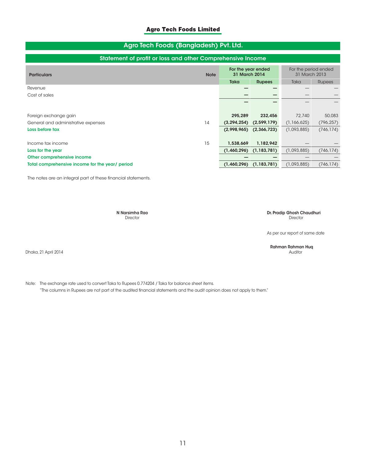# Agro Tech Foods (Bangladesh) Pvt. Ltd.

| Statement of profit or loss and other Comprehensive Income |             |                                     |                             |                                       |               |
|------------------------------------------------------------|-------------|-------------------------------------|-----------------------------|---------------------------------------|---------------|
| <b>Particulars</b>                                         | <b>Note</b> | For the year ended<br>31 March 2014 |                             | For the period ended<br>31 March 2013 |               |
|                                                            |             | <b>Taka</b>                         | <b>Rupees</b>               | Taka                                  | <b>Rupees</b> |
| Revenue                                                    |             |                                     |                             |                                       |               |
| Cost of sales                                              |             |                                     |                             |                                       |               |
|                                                            |             |                                     |                             |                                       |               |
|                                                            |             |                                     |                             |                                       |               |
| Foreign exchange gain                                      |             | 295,289                             | 232,456                     | 72,740                                | 50,083        |
| General and administrative expenses                        | 14          | (3, 294, 254)                       | (2,599,179)                 | (1,166,625)                           | (796, 257)    |
| Loss before tax                                            |             |                                     | $(2,998,965)$ $(2,366,723)$ | (1,093,885)                           | (746, 174)    |
|                                                            |             |                                     |                             |                                       |               |
| Income tax income                                          | 15          | 1,538,669                           | 1.182.942                   |                                       |               |
| Loss for the year                                          |             |                                     | $(1,460,296)$ $(1,183,781)$ | (1,093,885)                           | (746, 174)    |
| Other comprehensive income                                 |             |                                     |                             |                                       |               |
| Total comprehensive income for the year/ period            |             | (1,460,296)                         | (1, 183, 781)               | (1,093,885)                           | (746, 174)    |

The notes are an integral part of these financial statements.

### N Narsimha Rao Dr. Pradip Ghosh Chaudhuri Director Director

As per our report of same date

Rahman Rahman Huq

Dhaka, 21 April 2014

Note: The exchange rate used to convert Taka to Rupees 0.774204 / Taka for balance sheet items.

"The columns in Rupees are not part of the audited financial statements and the audit opinion does not apply to them."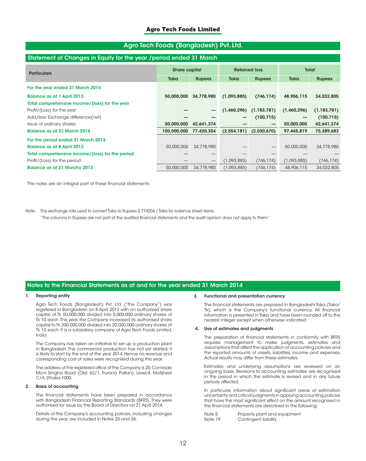### Agro Tech Foods (Bangladesh) Pvt. Ltd.

| Statement of Changes in Equity for the year / period ended 31 March |               |                   |                      |               |              |               |  |  |
|---------------------------------------------------------------------|---------------|-------------------|----------------------|---------------|--------------|---------------|--|--|
| <b>Particulars</b>                                                  | Share capital |                   | <b>Retained loss</b> |               | <b>Total</b> |               |  |  |
|                                                                     | Taka          | <b>Rupees</b>     | <b>Taka</b>          | <b>Rupees</b> | <b>Taka</b>  | <b>Rupees</b> |  |  |
| For the year ended 31 March 2014                                    |               |                   |                      |               |              |               |  |  |
| <b>Balance as at 1 April 2013</b>                                   | 50,000,000    | 34,778,980        | (1,093,885)          | (746, 174)    | 48,906,115   | 34,032,805    |  |  |
| Total comprehensive income/(loss) for the year                      |               |                   |                      |               |              |               |  |  |
| Profit/(Loss) for the year                                          |               | $\qquad \qquad -$ | (1,460,296)          | (1, 183, 781) | (1,460,296)  | (1, 183, 781) |  |  |
| Add/less: Exchange difference(net)                                  |               |                   |                      | (100, 715)    |              | (100, 715)    |  |  |
| Issue of ordinary shares                                            | 50,000,000    | 42.641.374        |                      | –             | 50,000,000   | 42,641,374    |  |  |
| <b>Balance as at 31 March 2014</b>                                  | 100,000,000   | 77,420,354        | (2, 554, 181)        | (2,030,670)   | 97,445,819   | 75,389,683    |  |  |
| For the period ended 31 March 2013                                  |               |                   |                      |               |              |               |  |  |
| Balance as at 8 April 2012                                          | 50,000,000    | 34,778,980        |                      | –             | 50,000,000   | 34,778,980    |  |  |
| Total comprehensive income/(loss) for the period                    |               |                   |                      |               |              |               |  |  |
| Profit/(Loss) for the period                                        |               |                   | (1,093,885)          | (746, 174)    | (1,093,885)  | (746, 174)    |  |  |
| <b>Balance as at 31 Marcho 2013</b>                                 | 50,000,000    | 34,778,980        | (1,093,885)          | (746, 174)    | 48,906,115   | 34.032.805    |  |  |

The notes are an integral part of these financial statements.

Note: The exchange rate used to convert Taka to Rupees 0.774204 / Taka for balance sheet items.

"The columns in Rupees are not part of the audited financial statements and the audit opinion does not apply to them."

### Notes to the Financial Statements as at and for the year ended 31 March 2014

### 1. Reporting entity

Agro Tech Foods (Bangladesh) Pvt. Ltd. ("the Company") was registered in Bangladesh on 8 April 2012 with an authorised share capital of Tk 50,000,000 divided into 5,000,000 ordinary shares of Tk 10 each. This year, the Company increased its authorised share capital to Tk 200,000,000 divided into 20,000,000 ordinary shares of Tk 10 each. It is a subsidiary company of Agro Tech Foods Limited, India.

The Company has taken an initiative to set up a production plant in Bangladesh. The commercial production has not yet started; it is likely to start by the end of the year 2014. Hence no revenue and corresponding cost of sales were recognised during this year.

The address of the registered office of the Company is 20, Comrade Moni Singha Road (Old: 62/1, Purana Paltan), Level-4, Motijheel C/A, Dhaka-1000.

### 2. Basis of accounting

The financial statements have been prepared in accordance with Bangladesh Financial Reporting Standards (BFRS). They were authorised for issue by the Board of Directors on 21 April 2014.

Details of the Company's accounting policies, including changes during the year, are included in Notes 25 and 26.

### 3. Functional and presentation currency

The financial statements are prepared in Bangladeshi Taka (Taka/ Tk), which is the Company's functional currency. All financial information is presented in Taka and have been rounded off to the nearest integer except when otherwise indicated.

#### 4. Use of estimates and judgments

The preparation of financial statements in conformity with BFRS requires management to make judgments, estimates and assumptions that affect the application of accounting policies and the reported amounts of assets, liabilities, income and expenses. Actual results may differ from these estimates.

Estimates and underlying assumptions are reviewed on an ongoing basis. Revisions to accounting estimates are recognised in the period in which the estimate is revised and in any future periods affected.

In particular, information about significant areas of estimation uncertainty and critical judgments in applying accounting policies that have the most significant effect on the amount recognised in the financial statements are described in the following:

Note 5 Property plant and equipment<br>Note 19 Contingent liability Contingent liability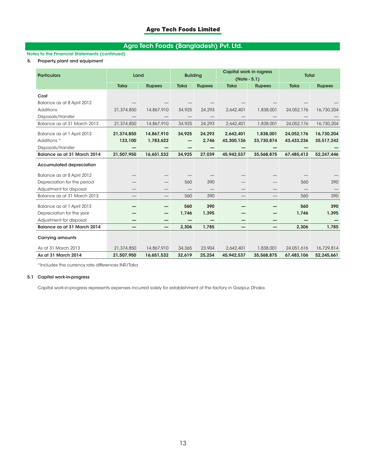# Agro Tech Foods (Bangladesh) Pvt. Ltd.

### Notes to the Financial Statements (continued)

### 5. Property, plant and equipment

| <b>Particulars</b>              | Land                     |                   | <b>Building</b> |               |             | Capital work in rogress<br>(Note - 5.1) | <b>Total</b> |               |
|---------------------------------|--------------------------|-------------------|-----------------|---------------|-------------|-----------------------------------------|--------------|---------------|
|                                 | <b>Taka</b>              | <b>Rupees</b>     | Taka            | <b>Rupees</b> | <b>Taka</b> | <b>Rupees</b>                           | Taka         | <b>Rupees</b> |
| Cost                            |                          |                   |                 |               |             |                                         |              |               |
| Balance as at 8 April 2012      |                          |                   |                 |               |             |                                         |              |               |
| <b>Additions</b>                | 21,374,850               | 14,867,910        | 34,925          | 24,293        | 2,642,401   | 1,838,001                               | 24,052,176   | 16,730,204    |
| Disposals/transfer              |                          |                   |                 |               |             |                                         |              |               |
| Balance as at 31 March 2013     | 21,374,850               | 14,867,910        | 34,925          | 24.293        | 2.642.401   | 1,838,001                               | 24,052,176   | 16,730,204    |
|                                 |                          |                   |                 |               |             |                                         |              |               |
| Balance as at 1 April 2013      | 21,374,850               | 14,867,910        | 34,925          | 24,293        | 2,642,401   | 1,838,001                               | 24,052,176   | 16,730,204    |
| Additions <sup>*</sup>          | 133,100                  | 1,783,622         |                 | 2,746         | 43,300,136  | 33,730,874                              | 43,433,236   | 35,517,242    |
| Disposals/transfer              |                          |                   |                 |               |             |                                         |              |               |
| Balance as at 31 March 2014     | 21,507,950               | 16,651,532        | 34,925          | 27,039        | 45,942,537  | 35,568,875                              | 67.485.412   | 52,247,446    |
| <b>Accumulated depreciation</b> |                          |                   |                 |               |             |                                         |              |               |
| Balance as at 8 April 2012      |                          |                   |                 |               |             |                                         |              |               |
| Depreciation for the period     |                          |                   | 560             | 390           |             |                                         | 560          | 390           |
| Adjustment for disposal         |                          | —                 |                 |               |             |                                         |              |               |
| Balance as at 31 March 2013     | $\overline{\phantom{0}}$ | $\qquad \qquad -$ | 560             | 390           |             |                                         | 560          | 390           |
| Balance as at 1 April 2013      |                          |                   | 560             | 390           |             |                                         | 560          | 390           |
| Depreciation for the year       |                          | —                 | 1,746           | 1,395         |             |                                         | 1,746        | 1,395         |
| Adjustment for disposal         |                          | -                 |                 |               |             |                                         |              |               |
| Balance as at 31 March 2014     |                          | —                 | 2,306           | 1,785         |             | —                                       | 2,306        | 1,785         |
| <b>Carrying amounts</b>         |                          |                   |                 |               |             |                                         |              |               |
| As at 31 March 2013             | 21,374,850               | 14,867,910        | 34,365          | 23,904        | 2,642,401   | 1,838,001                               | 24,051,616   | 16,729,814    |
| As at 31 March 2014             | 21,507,950               | 16,651,532        | 32,619          | 25,254        | 45,942,537  | 35,568,875                              | 67,483,106   | 52,245,661    |

\*Includes the currency rate differences INR/Taka

### 5.1 Capital work-in-progress

Capital work-in-progress represents expenses incurred solely for establishment of the factory in Gazipur, Dhaka.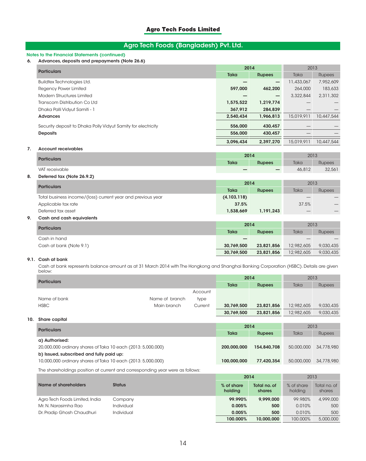# Agro Tech Foods (Bangladesh) Pvt. Ltd.

### Notes to the Financial Statements (continued)

### 6. Advances, deposits and prepayments (Note 26.6)

| <b>Particulars</b>                                            |           | 2014          |            | 2013          |
|---------------------------------------------------------------|-----------|---------------|------------|---------------|
|                                                               |           | <b>Rupees</b> | Taka       | <b>Rupees</b> |
| <b>Buildtex Technologies Ltd.</b>                             |           |               | 11,433,067 | 7,952,609     |
| <b>Regency Power Limited</b>                                  | 597,000   | 462,200       | 264,000    | 183.633       |
| Modern Structures Limited                                     |           |               | 3.322.844  | 2.311.302     |
| Transcom Distribution Co Ltd                                  | 1,575,522 | 1.219.774     |            |               |
| Dhaka Palli Vidyut Samiti - 1                                 | 367.912   | 284,839       |            |               |
| <b>Advances</b>                                               | 2,540,434 | 1,966,813     | 15,019,911 | 10,447,544    |
| Security deposit to Dhaka Polly Vidyut Samity for electricity | 556,000   | 430,457       |            |               |
| <b>Deposits</b>                                               | 556,000   | 430,457       |            |               |
|                                                               | 3.096.434 | 2,397,270     | 15,019,911 | 10.447.544    |

### 7. Account receivables

| <b>Particulars</b> | 2014 |               | 2013   |               |
|--------------------|------|---------------|--------|---------------|
|                    | Taka | <b>Rupees</b> | Taka   | <b>Rupees</b> |
| VAT receivable     |      |               | 46,812 | 32,561        |

### 8. Deferred tax (Note 26.9.2)

| <b>Particulars</b>                                          | 2014          |               | 2013  |               |
|-------------------------------------------------------------|---------------|---------------|-------|---------------|
|                                                             | Taka          | <b>Rupees</b> | Taka  | <b>Rupees</b> |
| Total business income/(loss) current year and previous year | (4, 103, 118) |               |       |               |
| Applicable tax rate                                         | 37.5%         |               | 37.5% |               |
| Deferred tax asset                                          | 1,538,669     | 1,191,243     |       |               |

### 9. Cash and cash equivalents

| <b>Particulars</b>      | 2014       |               | 2013       |               |
|-------------------------|------------|---------------|------------|---------------|
|                         | Taka       | <b>Rupees</b> | Taka       | <b>Rupees</b> |
| Cash in hand            |            |               |            |               |
| Cash at bank (Note 9.1) | 30,769,500 | 23,821,856    | 12,982,605 | 9,030,435     |
|                         | 30,769,500 | 23,821,856    | 12,982,605 | 9.030.435     |

### 9.1. Cash at bank

Cash at bank represents balance amount as at 31 March 2014 with The Hongkong and Shanghai Banking Corporation (HSBC). Details are given below:

| <b>Particulars</b> |                |         |            | 2014          | 2013       |               |
|--------------------|----------------|---------|------------|---------------|------------|---------------|
|                    |                |         | Taka       | <b>Rupees</b> | Taka       | <b>Rupees</b> |
|                    |                | Account |            |               |            |               |
| Name of bank       | Name of branch | type    |            |               |            |               |
| <b>HSBC</b>        | Main branch    | Current | 30,769,500 | 23,821,856    | 12,982,605 | 9.030.435     |
|                    |                |         | 30,769,500 | 23,821,856    | 12,982,605 | 9.030.435     |

### 10. Share capital

| <b>Particulars</b>                                           | 2014        |               | 2013       |            |
|--------------------------------------------------------------|-------------|---------------|------------|------------|
|                                                              | Taka        | <b>Rupees</b> | Taka       | Rupees     |
| a) Authorised:                                               |             |               |            |            |
| 20,000,000 ordinary shares of Taka 10 each (2013: 5,000,000) | 200,000,000 | 154,840,708   | 50,000,000 | 34,778,980 |
| b) Issued, subscribed and fully paid up:                     |             |               |            |            |
| 10,000,000 ordinary shares of Taka 10 each (2013: 5,000,000) | 100,000,000 | 77.420.354    | 50,000,000 | 34,778,980 |

The shareholdings position at current and corresponding year were as follows:

|                                |               | 2014                  |                        | 2013                  |                        |
|--------------------------------|---------------|-----------------------|------------------------|-----------------------|------------------------|
| Name of shareholders           | <b>Status</b> | % of share<br>holding | Total no. of<br>shares | % of share<br>holding | Total no. of<br>shares |
| Agro Tech Foods Limited, India | Company       | 99.990%               | 9,999,000              | 99.980%               | 4.999.000              |
| Mr. N. Narasimha Rao           | Individual    | 0.005%                | 500                    | 0.010%                | 500                    |
| Dr. Pradip Ghosh Chaudhuri     | Individual    | 0.005%                | 500                    | 0.010%                | 500                    |
|                                |               | 100.000%              | 10,000,000             | 100.000%              | 5,000,000              |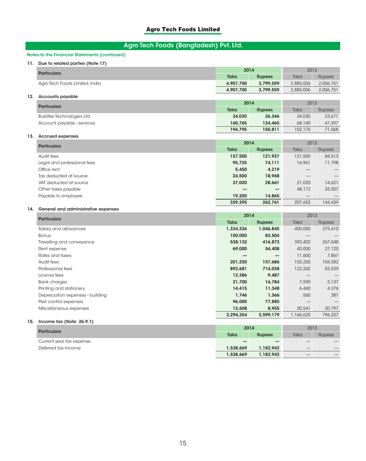# Agro Tech Foods (Bangladesh) Pvt. Ltd.

### Notes to the Financial Statements (continued)

| 11. | Due to related parties (Note 17) |           |               |           |               |  |
|-----|----------------------------------|-----------|---------------|-----------|---------------|--|
|     | <b>Particulars</b>               | 2014      |               | 2013      |               |  |
|     |                                  | Taka      | <b>Rupees</b> | Taka      | <b>Rupees</b> |  |
|     | Agro Tech Foods Limited, India   | 4,907,700 | 3.799.559     | 2,885,006 | 2,006,751     |  |
|     |                                  | 4,907,700 | 3.799.559     | 2,885,006 | 2,006,751     |  |
|     | 12. Accounts payable             |           |               |           |               |  |

| <b>Particulars</b>                |         | 2014          |         | 2013          |  |
|-----------------------------------|---------|---------------|---------|---------------|--|
|                                   | Taka    | <b>Rupees</b> | Taka    | <b>Rupees</b> |  |
| <b>Buildtex Technologies Ltd.</b> | 34,030  | 26,346        | 34,030  | 23,671        |  |
| Account payable - services        | 160.765 | 124,465       | 68,140  | 47,397        |  |
|                                   | 194,795 | 150,811       | 102,170 | 71,068        |  |

### 13. Accrued expenses

| <b>Particulars</b>          |             | 2014          |         | 2013                            |
|-----------------------------|-------------|---------------|---------|---------------------------------|
|                             | <b>Taka</b> | <b>Rupees</b> | Taka    | <b>Rupees</b>                   |
| Audit fees                  | 157,500     | 121,937       | 121,500 | 84,513                          |
| Legal and professional fees | 95,725      | 74.111        | 16.961  | 11,798                          |
| Office rent                 | 5,450       | 4.219         |         |                                 |
| Tax deducted at source      | 24,500      | 18,968        |         | $\hspace{0.1mm}-\hspace{0.1mm}$ |
| VAT deducted at source      | 37,020      | 28,661        | 21,020  | 14.621                          |
| Other taxes payable         |             |               | 48.172  | 33,507                          |
| Payable to employee         | 19,200      | 14,865        |         |                                 |
|                             | 339,395     | 262.761       | 207,653 | 144,439                         |

### 14. General and administrative expenses

| <b>Particulars</b>               | 2014      |               | 2013      |               |
|----------------------------------|-----------|---------------|-----------|---------------|
|                                  | Taka      | <b>Rupees</b> | Taka      | <b>Rupees</b> |
| Salary and allowances            | 1,334,336 | 1,046,845     | 400,000   | 275,410       |
| <b>Bonus</b>                     | 100,000   | 83,504        |           |               |
| Travelling and conveyance        | 538,132   | 416,873       | 392,402   | 267,048       |
| Rent expense                     | 69,000    | 54,408        | 40,000    | 27,120        |
| Rates and taxes                  |           |               | 11,600    | 7,867         |
| Audit fees                       | 201,250   | 157,686       | 155,250   | 104,582       |
| Professional fees                | 892,681   | 714,038       | 122,242   | 83,539        |
| License fees                     | 12,386    | 9,487         |           |               |
| <b>Bank charges</b>              | 21,700    | 16,784        | 7,590     | 5,137         |
| Printing and stationery          | 14,415    | 11,348        | 6,440     | 4,376         |
| Depreciation expenses - building | 1.746     | 1,366         | 560       | 381           |
| Pest control expenses            | 96,000    | 77,885        |           |               |
| Miscellaneous expenses           | 12,608    | 8,955         | 30,541    | 20,797        |
|                                  | 3,294,254 | 2,599,179     | 1,166,625 | 796,257       |

### 15. Income tax (Note 26.9.1)

| <b>Particulars</b>       |  | 2014      |               | 2013 |               |
|--------------------------|--|-----------|---------------|------|---------------|
|                          |  | Taka      | <b>Rupees</b> | Taka | <b>Rupees</b> |
| Current year tax expense |  |           |               |      |               |
| Deferred tax income      |  | 1,538,669 | 1.182.942     |      |               |
|                          |  | 1,538,669 | 1,182,942     |      |               |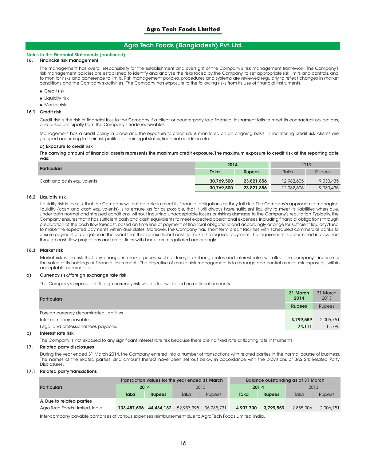### Agro Tech Foods (Bangladesh) Pvt. Ltd.

### Notes to the Financial Statements (continued)

### 16. Financial risk management

The management has overall responsibility for the establishment and oversight of the Company's risk management framework. The Company's risk management policies are established to identify and analyse the risks faced by the Company, to set appropriate risk limits and controls, and to monitor risks and adherence to limits. Risk management policies, procedures and systems are reviewed regularly to reflect changes in market conditions and the Company's activities. The Company has exposure to the following risks from its use of financial instruments.

- $\bullet$  Credit risk
- Liquidity risk
- **.** Market risk

#### 16.1 Credit risk

Credit risk is the risk of financial loss to the Company if a client or counterparty to a financial instrument fails to meet its contractual obligations, and arises principally from the Company's trade receivables.

Management has a credit policy in place and the exposure to credit risk is monitored on an ongoing basis. In monitoring credit risk, clients are grouped according to their risk profile, i.e. their legal status, financial condition etc.

### a) Exposure to credit risk

#### The carrying amount of financial assets represents the maximum credit exposure. The maximum exposure to credit risk at the reporting date was:

|                           | 2014       |               | 2013       |               |  |
|---------------------------|------------|---------------|------------|---------------|--|
| <b>Particulars</b>        | Taka       | <b>Rupees</b> | Taka       | <b>Rupees</b> |  |
| Cash and cash equivalents | 30,769,500 | 23,821,856    | 12.982.605 | 9.030.435     |  |
|                           | 30,769,500 | 23,821,856    | 12,982,605 | 9.030.435     |  |

### 16.2 Liquidity risk

Liquidity risk is the risk that the Company will not be able to meet its financial obligations as they fall due. The Company's approach to managing liquidity (cash and cash equivalents) is to ensure, as far as possible, that it will always have sufficient liquidity to meet its liabilities when due, under both normal and stressed conditions, without incurring unacceptable losses or risking damage to the Company's reputation. Typically, the Company ensures that it has sufficient cash and cash equivalents to meet expected operational expenses, including financial obligations through preparation of the cash flow forecast, based on time line of payment of financial obligations and accordingly arrange for sufficient liquidity/fund to make the expected payments within due dates. Moreover, the Company has short term credit facilities with scheduled commercial banks to ensure payment of obligation in the event that there is insufficient cash to make the required payment. The requirement is determined in advance through cash flow projections and credit lines with banks are negotiated accordingly.

### 16.3 Market risk

Market risk is the risk that any change in market prices, such as foreign exchange rates and interest rates will affect the company's income or the value of its holdings of financial instruments. The objective of market risk management is to manage and control market risk exposures within acceptable parameters.

### a) Currency risk/foreign exchange rate risk

The Company's exposure to foreign currency risk was as follows based on notional amounts:

| 31 March<br>2014 | 31 March<br>2013 |
|------------------|------------------|
| <b>Rupees</b>    | <b>Rupees</b>    |
|                  |                  |
| 3,799,559        | 2,006,751        |
| 74.111           | 11,798           |
|                  |                  |

### b) Interest rate risk

The Company is not exposed to any significant interest rate risk because there are no fixed rate or floating rate instruments.

#### 17. Related party disclosures

During the year ended 31 March 2014, the Company entered into a number of transactions with related parties in the normal course of business. The names of the related parties, and amount thereof have been set out below in accordance with the provisions of BAS 24: Related Party **Disclosures** 

### 17.1 Related party transactions

|                                | Transaction values for the year ended 31 March |               |                       |               | Balance outstanding as at 31 March |               |           |           |
|--------------------------------|------------------------------------------------|---------------|-----------------------|---------------|------------------------------------|---------------|-----------|-----------|
| <b>Particulars</b>             | 2014                                           |               | 2013                  |               | 2014                               |               | 2013      |           |
|                                | Taka                                           | <b>Rupees</b> | Taka                  | <b>Rupees</b> | Taka                               | <b>Rupees</b> | Taka      | Rupees    |
| A. Due to related parties      |                                                |               |                       |               |                                    |               |           |           |
| Agro Tech Foods Limited, India | 103,487,696                                    |               | 44.434.182 52.957.398 | 36.785.731    | 4,907,700                          | 3.799.559     | 2,885,006 | 2,006,751 |

Inter-company payable comprises of various expenses reimbursement due to Agro Tech Foods Limited, India.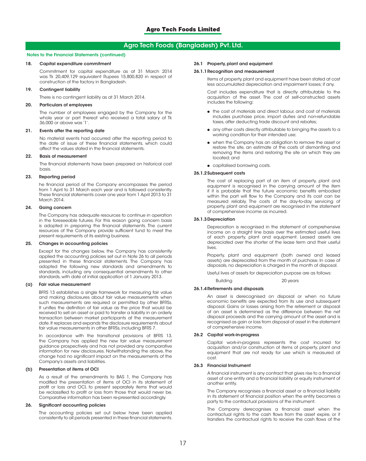### Notes to the Financial Statements (continued)

#### 18. Capital expenditure commitment

Commitment for capital expenditure as at 31 March 2014 was Tk 20,409,129 equivalent Rupees 15,800,820 in respect of construction of the factory in Bangladesh.

### 19. Contingent liability

There is no contingent liability as at 31 March 2014.

#### 20. Particulars of employees

The number of employees engaged by the Company for the whole year or part thereof who received a total salary of Tk 36,000 or above was '1'.

### 21. Events after the reporting date

No material events had occurred after the reporting period to the date of issue of these financial statements, which could affect the values stated in the financial statements.

### 22. Basis of measurement

The financial statements have been prepared on historical cost basis.

### 23. Reporting period

he financial period of the Company encompasses the period from 1 April to 31 March each year and is followed consistently. These financial statements cover one year from 1 April 2013 to 31 March 2014.

#### 24. Going concern

The Company has adequate resources to continue in operation in the foreseeable futures. For this reason going concern basis is adopted in preparing the financial statements. The current resources of the Company provide sufficient fund to meet the present requirements of its existing business.

### 25. Changes in accounting policies

Except for the changes below, the Company has consistently applied the accounting policies set out in Note 26 to all periods presented in these financial statements. The Company has adopted the following new standards and amendments to standards, including any consequential amendments to other standards, with date of initial application of 1 January 2013.

#### (a) Fair value measurement

BFRS 13 establishes a single framework for measuring fair value and making disclosures about fair value measurements when such measurements are required or permitted by other BFRSs. It unifies the definition of fair value as the price that would be received to sell an asset or paid to transfer a liability in an orderly transaction between market participants at the measurement date. It replaces and expands the disclosure requirements about fair value measurements in other BFRSs, including BFRS 7.

In accordance with the transitional provisions of BFRS 13, the Company has applied the new fair value measurement guidance prospectively and has not provided any comparative information for new disclosures. Notwithstanding the above, the change had no significant impact on the measurements of the Company's assets and liabilities.

### (b) Presentation of items of OCI

As a result of the amendments to BAS 1, the Company has modified the presentation of items of OCI in its statement of profit or loss and OCI, to present separately items that would be reclassified to profit or loss from those that would never be. Comparative information has been re-presented accordingly.

### 26. Significant accounting policies

The accounting policies set out below have been applied consistently to all periods presented in these financial statements.

#### 26.1 Property, plant and equipment

#### 26.1.1Recognition and measurement

Items of property, plant and equipment have been stated at cost less accumulated depreciation and impairment losses; if any.

Cost includes expenditure that is directly attributable to the acquisition of the asset. The cost of self-constructed assets includes the following:

- the cost of materials and direct labour, and cost of materials includes purchase price, import duties and non-refundable taxes, after deducting trade discount and rebates;
- any other costs directly attributable to bringing the assets to a working condition for their intended use;
- $\bullet\,$  when the Company has an obligation to remove the asset or restore the site, an estimate of the costs of dismantling and removing the items and restoring the site on which they are located; and
- capitalised borrowing costs.

### 26.1.2Subsequent costs

The cost of replacing part of an item of property, plant and equipment is recognised in the carrying amount of the item if it is probable that the future economic benefits embodied within the part will flow to the Company and its cost can be measured reliably. The costs of the day-to-day servicing of property, plant and equipment are recognised in the statement of comprehensive income as incurred.

#### 26.1.3Depreciation

Depreciation is recognised in the statement of comprehensive income on a straight line basis over the estimated useful lives of each property, plant and equipment. Leased assets are depreciated over the shorter of the lease term and their useful lives.

Property, plant and equipment (both owned and leased assets) are depreciated from the month of purchase. In case of disposals, no depreciation is charged in the month of disposal.

Useful lives of assets for depreciation purpose are as follows:

Building 20 years

### 26.1.4Retirements and disposals

An asset is derecognised on disposal or when no future economic benefits are expected from its use and subsequent disposal. Gains or losses arising from the retirement or disposal of an asset is determined as the difference between the net disposal proceeds and the carrying amount of the asset and is recognised as gain or loss from disposal of asset in the statement of comprehensive income.

### 26.2 Capital work-in-progress

Capital work-in-progress represents the cost incurred for acquisition and/or construction of items of property, plant and equipment that are not ready for use which is measured at cost.

### 26.3 Financial Instrument

A financial instrument is any contract that gives rise to a financial asset of one entity and a financial liability or equity instrument of another entity.

The Company recognises a financial asset or a financial liability in its statement of financial position when the entity becomes a party to the contractual provisions of the instrument.

The Company derecognises a financial asset when the contractual rights to the cash flows from the asset expire, or it transfers the contractual rights to receive the cash flows of the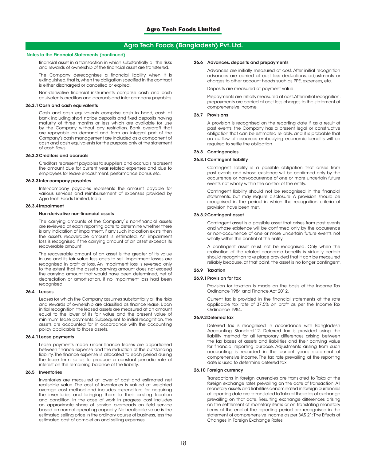### Notes to the Financial Statements (continued)

financial asset in a transaction in which substantially all the risks and rewards of ownership of the financial asset are transferred.

The Company derecognises a financial liability when it is extinguished, that is, when the obligation specified in the contract is either discharged or cancelled or expired.

Non-derivative financial instruments comprise cash and cash equivalents, creditors and accruals and inter-company payables.

### 26.3.1Cash and cash equivalents

Cash and cash equivalents comprise cash in hand, cash at bank including short notice deposits and fixed deposits having maturity of three months or less which are available for use by the Company without any restriction. Bank overdraft that are repayable on demand and form an integral part of the Company's cash management are included as a component of cash and cash equivalents for the purpose only of the statement of cash flows.

### 26.3.2Creditors and accruals

Creditors represent payables to suppliers and accruals represent the amount due for current year related expenses and due to employees for leave encashment, performance bonus etc.

### 26.3.3Inter-company payables

Inter-company payables represents the amount payable for various services and reimbursement of expenses provided by Agro Tech Foods Limited, India.

#### 26.3.4Impairment

### Non-derivative non-financial assets

The carrying amounts of the Company`s non-financial assets are reviewed at each reporting date to determine whether there is any indication of impairment. If any such indication exists, then the asset's recoverable amount is estimated. An impairment loss is recognised if the carrying amount of an asset exceeds its recoverable amount.

The recoverable amount of an asset is the greater of its value in use and its fair value less costs to sell. Impairment losses are recognised in profit or loss. An impairment loss is reversed only to the extent that the asset's carrying amount does not exceed the carrying amount that would have been determined, net of depreciation or amortisation, if no impairment loss had been recognised.

#### 26.4 Leases

Leases for which the Company assumes substantially all the risks and rewards of ownership are classified as finance lease. Upon initial recognition, the leased assets are measured at an amount equal to the lower of its fair value and the present value of minimum lease payments. Subsequent to initial recognition, the assets are accounted for in accordance with the accounting policy applicable to those assets.

### 26.4.1Lease payments

Lease payments made under finance leases are apportioned between finance expense and the reduction of the outstanding liability. The finance expense is allocated to each period during the lease term so as to produce a constant periodic rate of interest on the remaining balance of the liability.

### 26.5 Inventories

Inventories are measured at lower of cost and estimated net realisable value. The cost of inventories is valued at weighted average cost method and includes expenditure for acquiring the inventories and bringing them to their existing location and condition. In the case of work in progress, cost includes an approximate share of service overheads on field service based on normal operating capacity. Net realisable value is the estimated selling price in the ordinary course of business, less the estimated cost of completion and selling expenses.

### 26.6 Advances, deposits and prepayments

Advances are initially measured at cost. After initial recognition advances are carried at cost less deductions, adjustments or charges to other account heads such as PPE, expenses, etc.

Deposits are measured at payment value.

Prepayments are initially measured at cost. After initial recognition, prepayments are carried at cost less charges to the statement of comprehensive income.

### 26.7 Provisions

A provision is recognised on the reporting date if, as a result of past events, the Company has a present legal or constructive obligation that can be estimated reliably, and it is probable that an outflow of resources embodying economic benefits will be required to settle the obligation.

### 26.8 Contingencies

#### 26.8.1Contingent liability

Contingent liability is a possible obligation that arises from past events and whose existence will be confirmed only by the occurrence or non-occurrence of one or more uncertain future events not wholly within the control of the entity.

Contingent liability should not be recognised in the financial statements, but may require disclosure. A provision should be recognised in the period in which the recognition criteria of provision have been met.

#### 26.8.2Contingent asset

Contingent asset is a possible asset that arises from past events and whose existence will be confirmed only by the occurrence or non-occurrence of one or more uncertain future events not wholly within the control of the entity.

A contingent asset must not be recognised. Only when the realisation of the related economic benefits is virtually certain should recognition take place provided that it can be measured reliably because, at that point, the asset is no longer contingent.

### 26.9 Taxation

### 26.9.1 Provision for tax

Provision for taxation is made on the basis of the Income Tax Ordinance 1984 and Finance Act 2012.

Current tax is provided in the financial statements at the rate applicable tax rate of 37.5% on profit as per the Income Tax Ordinance 1984.

### 26.9.2Deferred tax

Deferred tax is recognised in accordance with Bangladesh Accounting Standard-12. Deferred tax is provided using the liability method for all temporary differences arising between the tax bases of assets and liabilities and their carrying value for financial reporting purpose. Adjustments arising from such accounting is recorded in the current year's statement of comprehensive income. The tax rate prevailing at the reporting date is used to determine deferred tax.

### 26.10 Foreign currency

Transactions in foreign currencies are translated to Taka at the foreign exchange rates prevailing on the date of transaction. All monetary assets and liabilities denominated in foreign currencies at reporting date are retranslated to Taka at the rates of exchange prevailing on that date. Resulting exchange differences arising on the settlement of monetary items or on translating monetary items at the end of the reporting period are recognised in the statement of comprehensive income as per BAS 21: The Effects of Changes in Foreign Exchange Rates.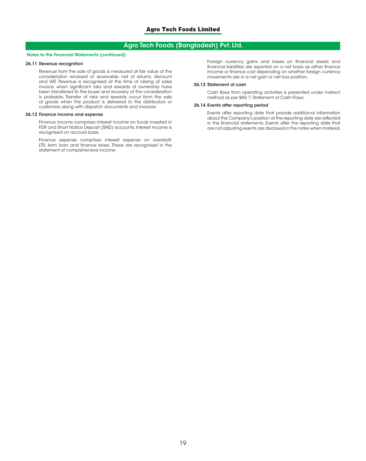### Notes to the Financial Statements (continued)

#### 26.11 Revenue recognition

Revenue from the sale of goods is measured at fair value of the consideration received or receivable, net of returns, discount and VAT. Revenue is recognised at the time of raising of sales invoice, when significant risks and rewards of ownership have been transferred to the buyer and recovery of the consideration is probable. Transfer of risks and rewards occur from the sale of goods when the product is delivered to the distributors or customers along with dispatch documents and invoices.

#### 26.12 Finance income and expense

Finance income comprises interest income on funds invested in FDR and Short Notice Deposit (SND) accounts. Interest income is recognised on accrual basis.

Finance expense comprises interest expense on overdraft, LTR, term loan and finance lease. These are recognised in the statement of comprehensive income.

Foreign currency gains and losses on financial assets and financial liabilities are reported on a net basis as either finance income or finance cost depending on whether foreign currency movements are in a net gain or net loss position.

### 26.13 Statement of cash

Cash flows from operating activities is presented under indirect method as per BAS 7: Statement of Cash Flows.

#### 26.14 Events after reporting period

Events after reporting date that provide additional information about the Company's position at the reporting date are reflected in the financial statements. Events after the reporting date that are not adjusting events are disclosed in the notes when material.